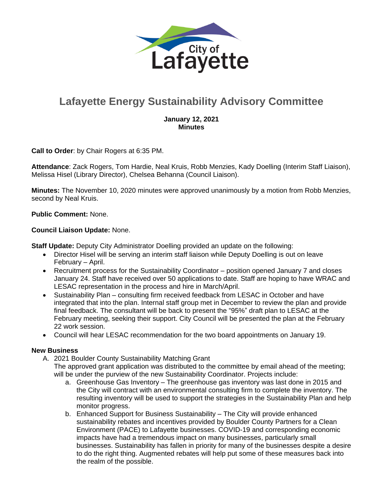

# **Lafayette Energy Sustainability Advisory Committee**

### **January 12, 2021 Minutes**

**Call to Order**: by Chair Rogers at 6:35 PM.

**Attendance**: Zack Rogers, Tom Hardie, Neal Kruis, Robb Menzies, Kady Doelling (Interim Staff Liaison), Melissa Hisel (Library Director), Chelsea Behanna (Council Liaison).

**Minutes:** The November 10, 2020 minutes were approved unanimously by a motion from Robb Menzies, second by Neal Kruis.

#### **Public Comment:** None.

#### **Council Liaison Update:** None.

**Staff Update:** Deputy City Administrator Doelling provided an update on the following:

- Director Hisel will be serving an interim staff liaison while Deputy Doelling is out on leave February – April.
- Recruitment process for the Sustainability Coordinator position opened January 7 and closes January 24. Staff have received over 50 applications to date. Staff are hoping to have WRAC and LESAC representation in the process and hire in March/April.
- Sustainability Plan consulting firm received feedback from LESAC in October and have integrated that into the plan. Internal staff group met in December to review the plan and provide final feedback. The consultant will be back to present the "95%" draft plan to LESAC at the February meeting, seeking their support. City Council will be presented the plan at the February 22 work session.
- Council will hear LESAC recommendation for the two board appointments on January 19.

#### **New Business**

- A. 2021 Boulder County Sustainability Matching Grant
	- The approved grant application was distributed to the committee by email ahead of the meeting; will be under the purview of the new Sustainability Coordinator. Projects include:
		- a. Greenhouse Gas Inventory The greenhouse gas inventory was last done in 2015 and the City will contract with an environmental consulting firm to complete the inventory. The resulting inventory will be used to support the strategies in the Sustainability Plan and help monitor progress.
		- b. Enhanced Support for Business Sustainability The City will provide enhanced sustainability rebates and incentives provided by Boulder County Partners for a Clean Environment (PACE) to Lafayette businesses. COVID-19 and corresponding economic impacts have had a tremendous impact on many businesses, particularly small businesses. Sustainability has fallen in priority for many of the businesses despite a desire to do the right thing. Augmented rebates will help put some of these measures back into the realm of the possible.